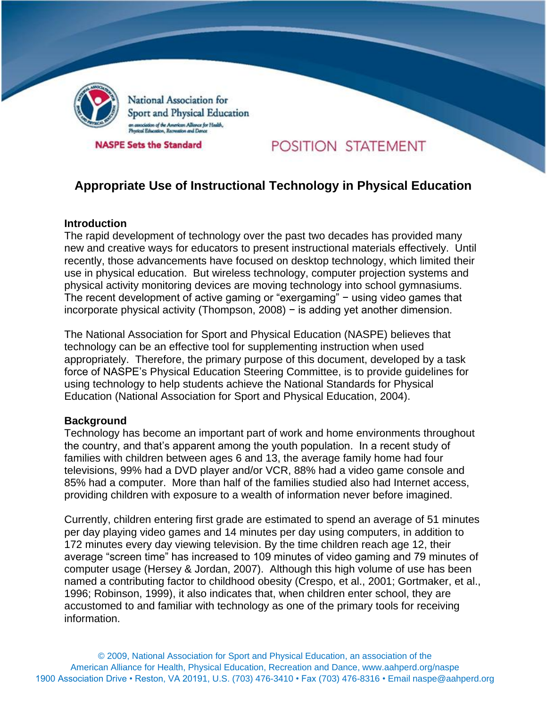

National Association for Sport and Physical Education .<br>sciation of the American Alliance for Health,<br>al Education, Recreation and Dance

**NASPE Sets the Standard** 

# POSITION STATEMENT

# **Appropriate Use of Instructional Technology in Physical Education**

#### **Introduction**

The rapid development of technology over the past two decades has provided many new and creative ways for educators to present instructional materials effectively. Until recently, those advancements have focused on desktop technology, which limited their use in physical education. But wireless technology, computer projection systems and physical activity monitoring devices are moving technology into school gymnasiums. The recent development of active gaming or "exergaming" − using video games that incorporate physical activity (Thompson, 2008) − is adding yet another dimension.

The National Association for Sport and Physical Education (NASPE) believes that technology can be an effective tool for supplementing instruction when used appropriately. Therefore, the primary purpose of this document, developed by a task force of NASPE's Physical Education Steering Committee, is to provide guidelines for using technology to help students achieve the National Standards for Physical Education (National Association for Sport and Physical Education, 2004).

#### **Background**

Technology has become an important part of work and home environments throughout the country, and that's apparent among the youth population. In a recent study of families with children between ages 6 and 13, the average family home had four televisions, 99% had a DVD player and/or VCR, 88% had a video game console and 85% had a computer. More than half of the families studied also had Internet access, providing children with exposure to a wealth of information never before imagined.

Currently, children entering first grade are estimated to spend an average of 51 minutes per day playing video games and 14 minutes per day using computers, in addition to 172 minutes every day viewing television. By the time children reach age 12, their average "screen time" has increased to 109 minutes of video gaming and 79 minutes of computer usage (Hersey & Jordan, 2007). Although this high volume of use has been named a contributing factor to childhood obesity (Crespo, et al., 2001; Gortmaker, et al., 1996; Robinson, 1999), it also indicates that, when children enter school, they are accustomed to and familiar with technology as one of the primary tools for receiving information.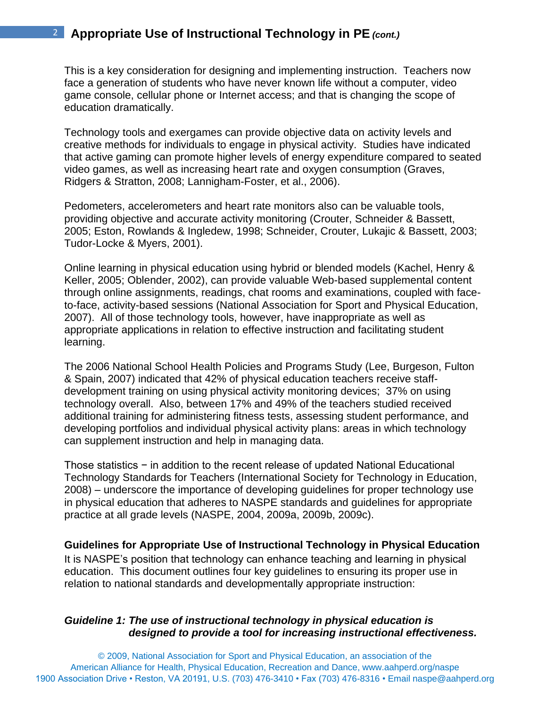This is a key consideration for designing and implementing instruction. Teachers now face a generation of students who have never known life without a computer, video game console, cellular phone or Internet access; and that is changing the scope of education dramatically.

Technology tools and exergames can provide objective data on activity levels and creative methods for individuals to engage in physical activity. Studies have indicated that active gaming can promote higher levels of energy expenditure compared to seated video games, as well as increasing heart rate and oxygen consumption (Graves, Ridgers & Stratton, 2008; Lannigham-Foster, et al., 2006).

Pedometers, accelerometers and heart rate monitors also can be valuable tools, providing objective and accurate activity monitoring (Crouter, Schneider & Bassett, 2005; Eston, Rowlands & Ingledew, 1998; Schneider, Crouter, Lukajic & Bassett, 2003; Tudor-Locke & Myers, 2001).

Online learning in physical education using hybrid or blended models (Kachel, Henry & Keller, 2005; Oblender, 2002), can provide valuable Web-based supplemental content through online assignments, readings, chat rooms and examinations, coupled with faceto-face, activity-based sessions (National Association for Sport and Physical Education, 2007). All of those technology tools, however, have inappropriate as well as appropriate applications in relation to effective instruction and facilitating student learning.

The 2006 National School Health Policies and Programs Study (Lee, Burgeson, Fulton & Spain, 2007) indicated that 42% of physical education teachers receive staffdevelopment training on using physical activity monitoring devices; 37% on using technology overall. Also, between 17% and 49% of the teachers studied received additional training for administering fitness tests, assessing student performance, and developing portfolios and individual physical activity plans: areas in which technology can supplement instruction and help in managing data.

Those statistics − in addition to the recent release of updated National Educational Technology Standards for Teachers (International Society for Technology in Education, 2008) – underscore the importance of developing guidelines for proper technology use in physical education that adheres to NASPE standards and guidelines for appropriate practice at all grade levels (NASPE, 2004, 2009a, 2009b, 2009c).

**Guidelines for Appropriate Use of Instructional Technology in Physical Education** It is NASPE's position that technology can enhance teaching and learning in physical education. This document outlines four key guidelines to ensuring its proper use in relation to national standards and developmentally appropriate instruction:

### *Guideline 1: The use of instructional technology in physical education is designed to provide a tool for increasing instructional effectiveness.*

© 2009, National Association for Sport and Physical Education, an association of the American Alliance for Health, Physical Education, Recreation and Dance, www.aahperd.org/naspe 1900 Association Drive • Reston, VA 20191, U.S. (703) 476-3410 • Fax (703) 476-8316 • Email naspe@aahperd.org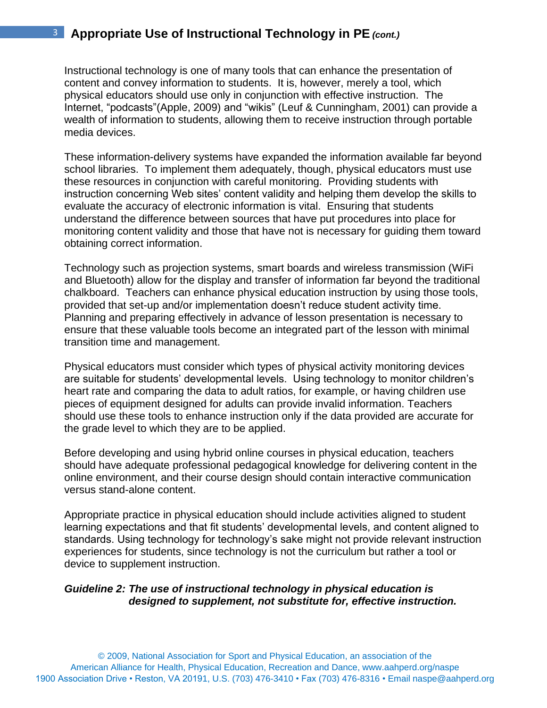Instructional technology is one of many tools that can enhance the presentation of content and convey information to students. It is, however, merely a tool, which physical educators should use only in conjunction with effective instruction. The Internet, "podcasts"(Apple, 2009) and "wikis" (Leuf & Cunningham, 2001) can provide a wealth of information to students, allowing them to receive instruction through portable media devices.

These information-delivery systems have expanded the information available far beyond school libraries. To implement them adequately, though, physical educators must use these resources in conjunction with careful monitoring. Providing students with instruction concerning Web sites' content validity and helping them develop the skills to evaluate the accuracy of electronic information is vital. Ensuring that students understand the difference between sources that have put procedures into place for monitoring content validity and those that have not is necessary for guiding them toward obtaining correct information.

Technology such as projection systems, smart boards and wireless transmission (WiFi and Bluetooth) allow for the display and transfer of information far beyond the traditional chalkboard. Teachers can enhance physical education instruction by using those tools, provided that set-up and/or implementation doesn't reduce student activity time. Planning and preparing effectively in advance of lesson presentation is necessary to ensure that these valuable tools become an integrated part of the lesson with minimal transition time and management.

Physical educators must consider which types of physical activity monitoring devices are suitable for students' developmental levels. Using technology to monitor children's heart rate and comparing the data to adult ratios, for example, or having children use pieces of equipment designed for adults can provide invalid information. Teachers should use these tools to enhance instruction only if the data provided are accurate for the grade level to which they are to be applied.

Before developing and using hybrid online courses in physical education, teachers should have adequate professional pedagogical knowledge for delivering content in the online environment, and their course design should contain interactive communication versus stand-alone content.

Appropriate practice in physical education should include activities aligned to student learning expectations and that fit students' developmental levels, and content aligned to standards. Using technology for technology's sake might not provide relevant instruction experiences for students, since technology is not the curriculum but rather a tool or device to supplement instruction.

#### *Guideline 2: The use of instructional technology in physical education is designed to supplement, not substitute for, effective instruction.*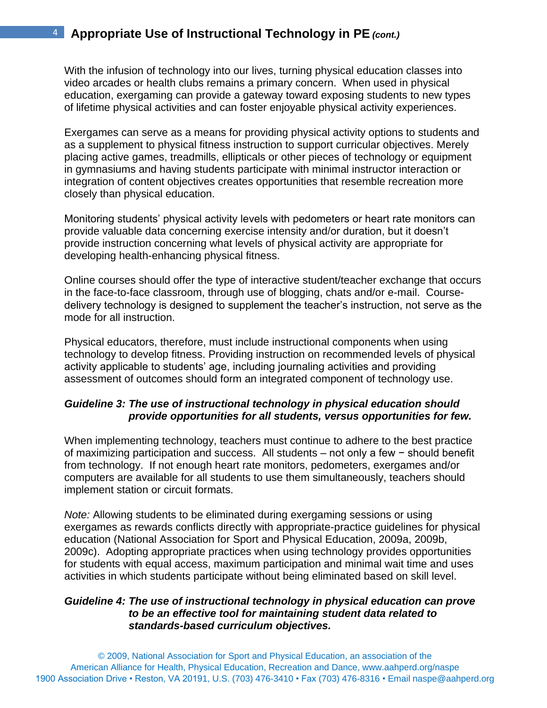With the infusion of technology into our lives, turning physical education classes into video arcades or health clubs remains a primary concern. When used in physical education, exergaming can provide a gateway toward exposing students to new types of lifetime physical activities and can foster enjoyable physical activity experiences.

Exergames can serve as a means for providing physical activity options to students and as a supplement to physical fitness instruction to support curricular objectives. Merely placing active games, treadmills, ellipticals or other pieces of technology or equipment in gymnasiums and having students participate with minimal instructor interaction or integration of content objectives creates opportunities that resemble recreation more closely than physical education.

Monitoring students' physical activity levels with pedometers or heart rate monitors can provide valuable data concerning exercise intensity and/or duration, but it doesn't provide instruction concerning what levels of physical activity are appropriate for developing health-enhancing physical fitness.

Online courses should offer the type of interactive student/teacher exchange that occurs in the face-to-face classroom, through use of blogging, chats and/or e-mail. Coursedelivery technology is designed to supplement the teacher's instruction, not serve as the mode for all instruction.

Physical educators, therefore, must include instructional components when using technology to develop fitness. Providing instruction on recommended levels of physical activity applicable to students' age, including journaling activities and providing assessment of outcomes should form an integrated component of technology use.

### *Guideline 3: The use of instructional technology in physical education should provide opportunities for all students, versus opportunities for few.*

When implementing technology, teachers must continue to adhere to the best practice of maximizing participation and success. All students – not only a few − should benefit from technology. If not enough heart rate monitors, pedometers, exergames and/or computers are available for all students to use them simultaneously, teachers should implement station or circuit formats.

*Note:* Allowing students to be eliminated during exergaming sessions or using exergames as rewards conflicts directly with appropriate-practice guidelines for physical education (National Association for Sport and Physical Education, 2009a, 2009b, 2009c). Adopting appropriate practices when using technology provides opportunities for students with equal access, maximum participation and minimal wait time and uses activities in which students participate without being eliminated based on skill level.

#### *Guideline 4: The use of instructional technology in physical education can prove to be an effective tool for maintaining student data related to standards-based curriculum objectives.*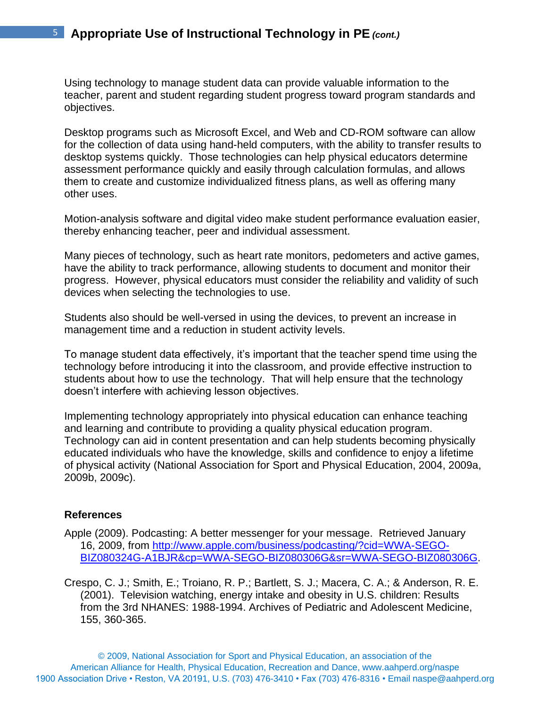Using technology to manage student data can provide valuable information to the teacher, parent and student regarding student progress toward program standards and objectives.

Desktop programs such as Microsoft Excel, and Web and CD-ROM software can allow for the collection of data using hand-held computers, with the ability to transfer results to desktop systems quickly. Those technologies can help physical educators determine assessment performance quickly and easily through calculation formulas, and allows them to create and customize individualized fitness plans, as well as offering many other uses.

Motion-analysis software and digital video make student performance evaluation easier, thereby enhancing teacher, peer and individual assessment.

Many pieces of technology, such as heart rate monitors, pedometers and active games, have the ability to track performance, allowing students to document and monitor their progress. However, physical educators must consider the reliability and validity of such devices when selecting the technologies to use.

Students also should be well-versed in using the devices, to prevent an increase in management time and a reduction in student activity levels.

To manage student data effectively, it's important that the teacher spend time using the technology before introducing it into the classroom, and provide effective instruction to students about how to use the technology. That will help ensure that the technology doesn't interfere with achieving lesson objectives.

Implementing technology appropriately into physical education can enhance teaching and learning and contribute to providing a quality physical education program. Technology can aid in content presentation and can help students becoming physically educated individuals who have the knowledge, skills and confidence to enjoy a lifetime of physical activity (National Association for Sport and Physical Education, 2004, 2009a, 2009b, 2009c).

#### **References**

- Apple (2009). Podcasting: A better messenger for your message. Retrieved January 16, 2009, from [http://www.apple.com/business/podcasting/?cid=WWA-SEGO-](http://www.apple.com/business/podcasting/?cid=WWA-SEGO-BIZ080324G-A1BJR&cp=WWA-SEGO-BIZ080306G&sr=WWA-SEGO-BIZ080306G)[BIZ080324G-A1BJR&cp=WWA-SEGO-BIZ080306G&sr=WWA-SEGO-BIZ080306G.](http://www.apple.com/business/podcasting/?cid=WWA-SEGO-BIZ080324G-A1BJR&cp=WWA-SEGO-BIZ080306G&sr=WWA-SEGO-BIZ080306G)
- Crespo, C. J.; Smith, E.; Troiano, R. P.; Bartlett, S. J.; Macera, C. A.; & Anderson, R. E. (2001). Television watching, energy intake and obesity in U.S. children: Results from the 3rd NHANES: 1988-1994. Archives of Pediatric and Adolescent Medicine, 155, 360-365.

© 2009, National Association for Sport and Physical Education, an association of the American Alliance for Health, Physical Education, Recreation and Dance, www.aahperd.org/naspe 1900 Association Drive • Reston, VA 20191, U.S. (703) 476-3410 • Fax (703) 476-8316 • Email naspe@aahperd.org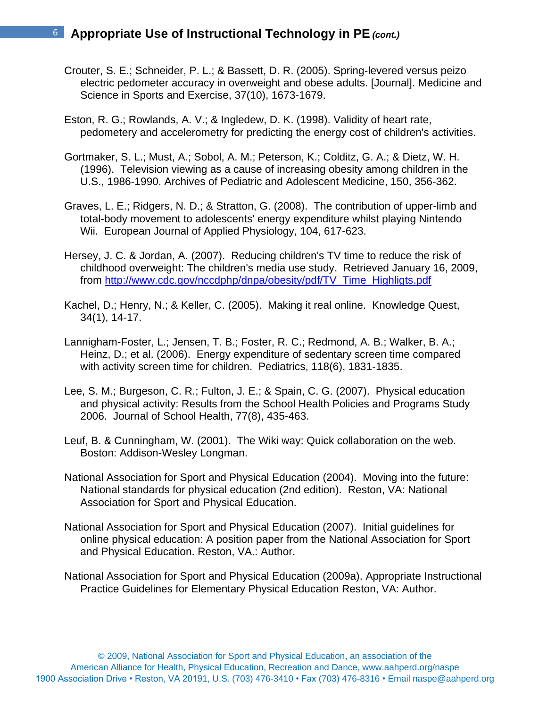- Crouter, S. E.; Schneider, P. L.; & Bassett, D. R. (2005). Spring-levered versus peizo electric pedometer accuracy in overweight and obese adults. [Journal]. Medicine and Science in Sports and Exercise, 37(10), 1673-1679.
- Eston, R. G.; Rowlands, A. V.; & Ingledew, D. K. (1998). Validity of heart rate, pedometery and accelerometry for predicting the energy cost of children's activities.
- Gortmaker, S. L.; Must, A.; Sobol, A. M.; Peterson, K.; Colditz, G. A.; & Dietz, W. H. (1996). Television viewing as a cause of increasing obesity among children in the U.S., 1986-1990. Archives of Pediatric and Adolescent Medicine, 150, 356-362.
- Graves, L. E.; Ridgers, N. D.; & Stratton, G. (2008). The contribution of upper-limb and total-body movement to adolescents' energy expenditure whilst playing Nintendo Wii. European Journal of Applied Physiology, 104, 617-623.
- Hersey, J. C. & Jordan, A. (2007). Reducing children's TV time to reduce the risk of childhood overweight: The children's media use study. Retrieved January 16, 2009, from [http://www.cdc.gov/nccdphp/dnpa/obesity/pdf/TV\\_Time\\_Highligts.pdf](http://www.cdc.gov/nccdphp/dnpa/obesity/pdf/TV_Time_Highligts.pdf)
- Kachel, D.; Henry, N.; & Keller, C. (2005). Making it real online. Knowledge Quest, 34(1), 14-17.
- Lannigham-Foster, L.; Jensen, T. B.; Foster, R. C.; Redmond, A. B.; Walker, B. A.; Heinz, D.; et al. (2006). Energy expenditure of sedentary screen time compared with activity screen time for children. Pediatrics, 118(6), 1831-1835.
- Lee, S. M.; Burgeson, C. R.; Fulton, J. E.; & Spain, C. G. (2007). Physical education and physical activity: Results from the School Health Policies and Programs Study 2006. Journal of School Health, 77(8), 435-463.
- Leuf, B. & Cunningham, W. (2001). The Wiki way: Quick collaboration on the web. Boston: Addison-Wesley Longman.
- National Association for Sport and Physical Education (2004). Moving into the future: National standards for physical education (2nd edition). Reston, VA: National Association for Sport and Physical Education.
- National Association for Sport and Physical Education (2007). Initial guidelines for online physical education: A position paper from the National Association for Sport and Physical Education. Reston, VA.: Author.
- National Association for Sport and Physical Education (2009a). Appropriate Instructional Practice Guidelines for Elementary Physical Education Reston, VA: Author.